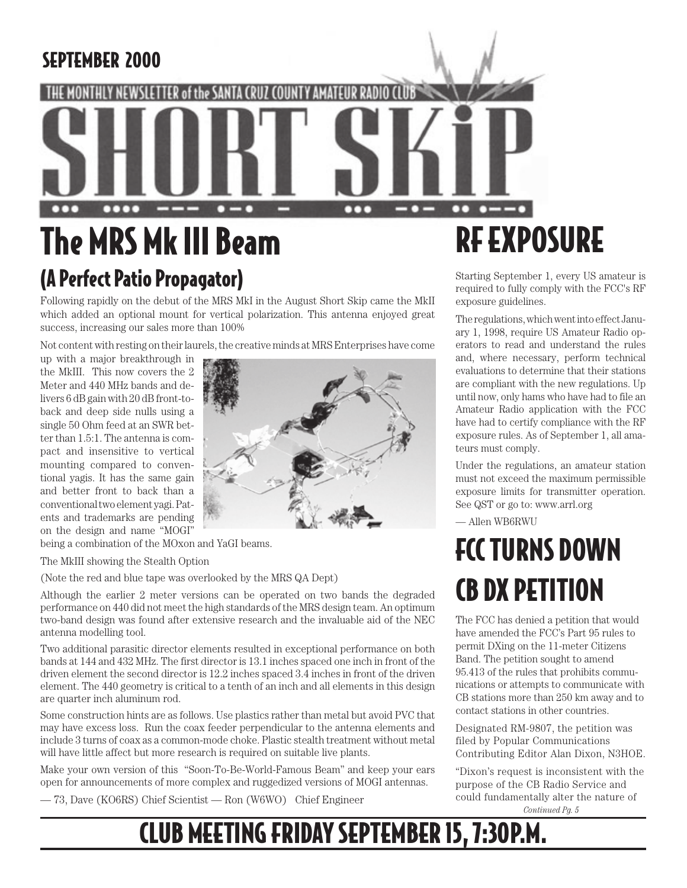### SEPTEMBER 2000

## of the SANTA  $\bullet\bullet\bullet\bullet$  $0 - 0$ ┳ n

## The MRS Mk III Beam (A Perfect Patio Propagator)

Following rapidly on the debut of the MRS MkI in the August Short Skip came the MkII which added an optional mount for vertical polarization. This antenna enjoyed great success, increasing our sales more than 100%

Not content with resting on their laurels, the creative minds at MRS Enterprises have come

up with a major breakthrough in the MkIII. This now covers the 2 Meter and 440 MHz bands and delivers 6 dB gain with 20 dB front-toback and deep side nulls using a single 50 Ohm feed at an SWR better than 1.5:1. The antenna is compact and insensitive to vertical mounting compared to conventional yagis. It has the same gain and better front to back than a conventional two element yagi. Patents and trademarks are pending on the design and name "MOGI"



being a combination of the MOxon and YaGI beams.

The MkIII showing the Stealth Option

(Note the red and blue tape was overlooked by the MRS QA Dept)

Although the earlier 2 meter versions can be operated on two bands the degraded performance on 440 did not meet the high standards of the MRS design team. An optimum two-band design was found after extensive research and the invaluable aid of the NEC antenna modelling tool.

Two additional parasitic director elements resulted in exceptional performance on both bands at 144 and 432 MHz. The first director is 13.1 inches spaced one inch in front of the driven element the second director is 12.2 inches spaced 3.4 inches in front of the driven element. The 440 geometry is critical to a tenth of an inch and all elements in this design are quarter inch aluminum rod.

Some construction hints are as follows. Use plastics rather than metal but avoid PVC that may have excess loss. Run the coax feeder perpendicular to the antenna elements and include 3 turns of coax as a common-mode choke. Plastic stealth treatment without metal will have little affect but more research is required on suitable live plants.

Make your own version of this "Soon-To-Be-World-Famous Beam" and keep your ears open for announcements of more complex and ruggedized versions of MOGI antennas.

— 73, Dave (KO6RS) Chief Scientist — Ron (W6WO) Chief Engineer

# RF EXPOSURE

Starting September 1, every US amateur is required to fully comply with the FCC's RF exposure guidelines.

The regulations, which went into effect January 1, 1998, require US Amateur Radio operators to read and understand the rules and, where necessary, perform technical evaluations to determine that their stations are compliant with the new regulations. Up until now, only hams who have had to file an Amateur Radio application with the FCC have had to certify compliance with the RF exposure rules. As of September 1, all amateurs must comply.

Under the regulations, an amateur station must not exceed the maximum permissible exposure limits for transmitter operation. See QST or go to: www.arrl.org

— Allen WB6RWU

## **FCC TURNS DOWN** CB DX PETITION

The FCC has denied a petition that would have amended the FCC's Part 95 rules to permit DXing on the 11-meter Citizens Band. The petition sought to amend 95.413 of the rules that prohibits communications or attempts to communicate with CB stations more than 250 km away and to contact stations in other countries.

Designated RM-9807, the petition was filed by Popular Communications Contributing Editor Alan Dixon, N3HOE.

"Dixon's request is inconsistent with the purpose of the CB Radio Service and could fundamentally alter the nature of *Continued Pg. 5*

CLUB MEETING FRIDAY SEPTEMBER 15, 7:30P.M.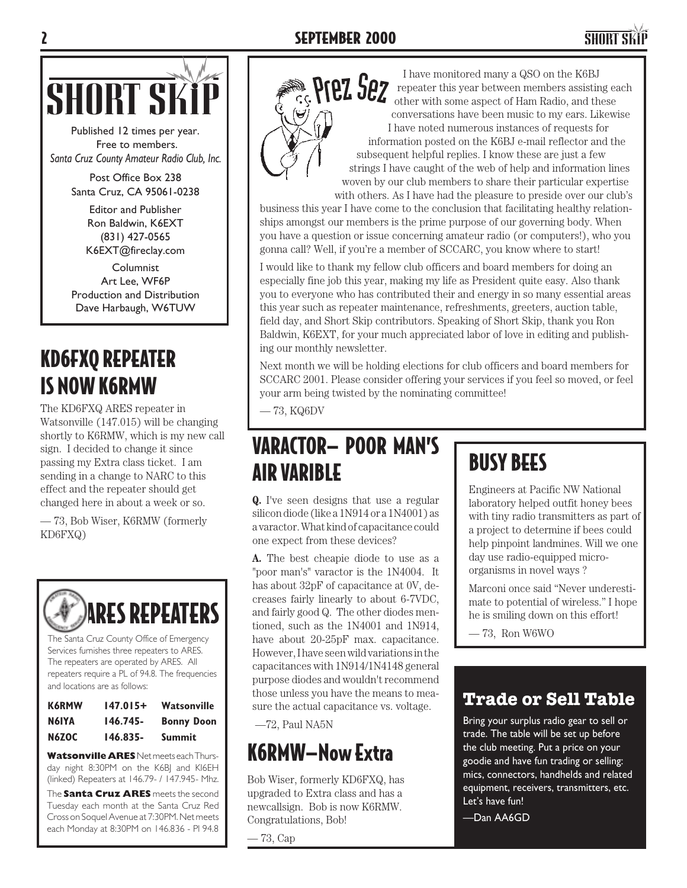

Published 12 times per year. Free to members. *Santa Cruz County Amateur Radio Club, Inc.*

> Post Office Box 238 Santa Cruz, CA 95061-0238

> > Editor and Publisher Ron Baldwin, K6EXT (831) 427-0565 K6EXT@fireclay.com

Columnist Art Lee, WF6P Production and Distribution Dave Harbaugh, W6TUW

### KD6FXQ REPEATER IS NOW K6RMW

The KD6FXQ ARES repeater in Watsonville (147.015) will be changing shortly to K6RMW, which is my new call sign. I decided to change it since passing my Extra class ticket. I am sending in a change to NARC to this effect and the repeater should get changed here in about a week or so.

— 73, Bob Wiser, K6RMW (formerly KD6FXQ)



(linked) Repeaters at 146.79- / 147.945- Mhz.

The **Santa Cruz ARES** meets the second Tuesday each month at the Santa Cruz Red Cross on Soquel Avenue at 7:30PM. Net meets each Monday at 8:30PM on 146.836 - Pl 94.8



 I have monitored many a QSO on the K6BJ repeater this year between members assisting each other with some aspect of Ham Radio, and these conversations have been music to my ears. Likewise I have noted numerous instances of requests for information posted on the K6BJ e-mail reflector and the subsequent helpful replies. I know these are just a few strings I have caught of the web of help and information lines woven by our club members to share their particular expertise with others. As I have had the pleasure to preside over our club's

business this year I have come to the conclusion that facilitating healthy relationships amongst our members is the prime purpose of our governing body. When you have a question or issue concerning amateur radio (or computers!), who you gonna call? Well, if you're a member of SCCARC, you know where to start!

I would like to thank my fellow club officers and board members for doing an especially fine job this year, making my life as President quite easy. Also thank you to everyone who has contributed their and energy in so many essential areas this year such as repeater maintenance, refreshments, greeters, auction table, field day, and Short Skip contributors. Speaking of Short Skip, thank you Ron Baldwin, K6EXT, for your much appreciated labor of love in editing and publishing our monthly newsletter.

Next month we will be holding elections for club officers and board members for SCCARC 2001. Please consider offering your services if you feel so moved, or feel your arm being twisted by the nominating committee!

— 73, KQ6DV

### VARACTOR— POOR MAN'S AIR VARIBLE

**Q.** I've seen designs that use a regular silicon diode (like a 1N914 or a 1N4001) as a varactor. What kind of capacitance could one expect from these devices?

**A.** The best cheapie diode to use as a "poor man's" varactor is the 1N4004. It has about 32pF of capacitance at 0V, decreases fairly linearly to about 6-7VDC, and fairly good Q. The other diodes mentioned, such as the 1N4001 and 1N914, have about 20-25pF max. capacitance. However, I have seen wild variations in the capacitances with 1N914/1N4148 general purpose diodes and wouldn't recommend those unless you have the means to measure the actual capacitance vs. voltage.

—72, Paul NA5N

### K6RMW—Now Extra

Bob Wiser, formerly KD6FXQ, has upgraded to Extra class and has a newcallsign. Bob is now K6RMW. Congratulations, Bob!

— 73, Cap

## BUSY BEES

Engineers at Pacific NW National laboratory helped outfit honey bees with tiny radio transmitters as part of a project to determine if bees could help pinpoint landmines. Will we one day use radio-equipped microorganisms in novel ways ?

Marconi once said "Never underestimate to potential of wireless." I hope he is smiling down on this effort!

— 73, Ron W6WO

### **Trade or Sell Table**

Bring your surplus radio gear to sell or trade. The table will be set up before the club meeting. Put a price on your goodie and have fun trading or selling: mics, connectors, handhelds and related equipment, receivers, transmitters, etc. Let's have fun!

—Dan AA6GD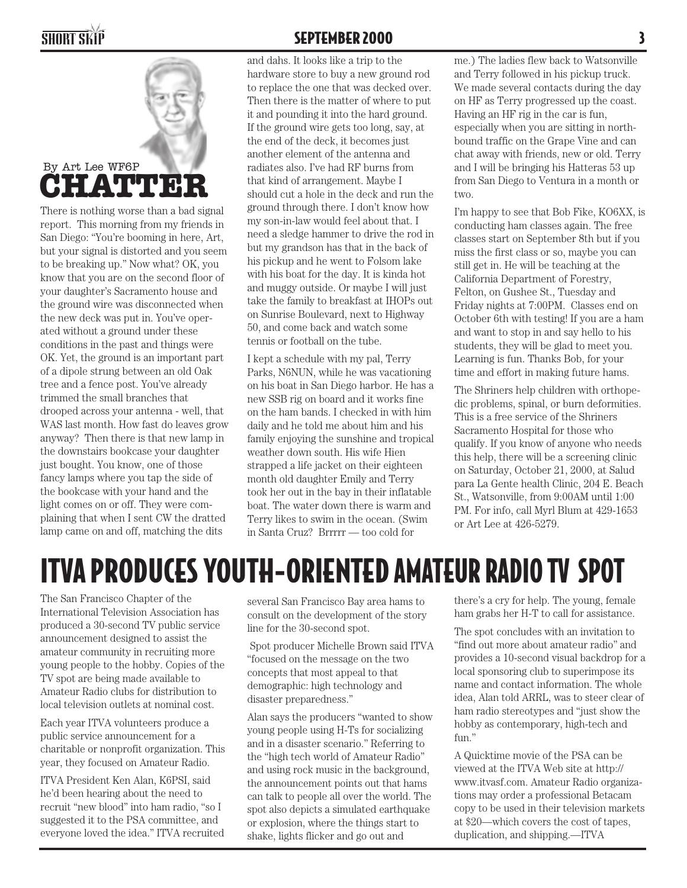

There is nothing worse than a bad signal report. This morning from my friends in San Diego: "You're booming in here, Art, but your signal is distorted and you seem to be breaking up." Now what? OK, you know that you are on the second floor of your daughter's Sacramento house and the ground wire was disconnected when the new deck was put in. You've operated without a ground under these conditions in the past and things were OK. Yet, the ground is an important part of a dipole strung between an old Oak tree and a fence post. You've already trimmed the small branches that drooped across your antenna - well, that WAS last month. How fast do leaves grow anyway? Then there is that new lamp in the downstairs bookcase your daughter just bought. You know, one of those fancy lamps where you tap the side of the bookcase with your hand and the light comes on or off. They were complaining that when I sent CW the dratted lamp came on and off, matching the dits

#### SHORT SKIP SEPTEMBER 2000 3

and dahs. It looks like a trip to the hardware store to buy a new ground rod to replace the one that was decked over. Then there is the matter of where to put it and pounding it into the hard ground. If the ground wire gets too long, say, at the end of the deck, it becomes just another element of the antenna and radiates also. I've had RF burns from that kind of arrangement. Maybe I should cut a hole in the deck and run the ground through there. I don't know how my son-in-law would feel about that. I need a sledge hammer to drive the rod in but my grandson has that in the back of his pickup and he went to Folsom lake with his boat for the day. It is kinda hot and muggy outside. Or maybe I will just take the family to breakfast at IHOPs out on Sunrise Boulevard, next to Highway 50, and come back and watch some tennis or football on the tube.

I kept a schedule with my pal, Terry Parks, N6NUN, while he was vacationing on his boat in San Diego harbor. He has a new SSB rig on board and it works fine on the ham bands. I checked in with him daily and he told me about him and his family enjoying the sunshine and tropical weather down south. His wife Hien strapped a life jacket on their eighteen month old daughter Emily and Terry took her out in the bay in their inflatable boat. The water down there is warm and Terry likes to swim in the ocean. (Swim in Santa Cruz? Brrrrr — too cold for

me.) The ladies flew back to Watsonville and Terry followed in his pickup truck. We made several contacts during the day on HF as Terry progressed up the coast. Having an HF rig in the car is fun, especially when you are sitting in northbound traffic on the Grape Vine and can chat away with friends, new or old. Terry and I will be bringing his Hatteras 53 up from San Diego to Ventura in a month or two.

I'm happy to see that Bob Fike, KO6XX, is conducting ham classes again. The free classes start on September 8th but if you miss the first class or so, maybe you can still get in. He will be teaching at the California Department of Forestry, Felton, on Gushee St., Tuesday and Friday nights at 7:00PM. Classes end on October 6th with testing! If you are a ham and want to stop in and say hello to his students, they will be glad to meet you. Learning is fun. Thanks Bob, for your time and effort in making future hams.

The Shriners help children with orthopedic problems, spinal, or burn deformities. This is a free service of the Shriners Sacramento Hospital for those who qualify. If you know of anyone who needs this help, there will be a screening clinic on Saturday, October 21, 2000, at Salud para La Gente health Clinic, 204 E. Beach St., Watsonville, from 9:00AM until 1:00 PM. For info, call Myrl Blum at 429-1653 or Art Lee at 426-5279.

## ITVA PRODUCES YOUTH-ORIENTED AMATEUR RADIO TV SPOT

The San Francisco Chapter of the International Television Association has produced a 30-second TV public service announcement designed to assist the amateur community in recruiting more young people to the hobby. Copies of the TV spot are being made available to Amateur Radio clubs for distribution to local television outlets at nominal cost.

Each year ITVA volunteers produce a public service announcement for a charitable or nonprofit organization. This year, they focused on Amateur Radio.

ITVA President Ken Alan, K6PSI, said he'd been hearing about the need to recruit "new blood" into ham radio, "so I suggested it to the PSA committee, and everyone loved the idea." ITVA recruited

several San Francisco Bay area hams to consult on the development of the story line for the 30-second spot.

 Spot producer Michelle Brown said ITVA "focused on the message on the two concepts that most appeal to that demographic: high technology and disaster preparedness."

Alan says the producers "wanted to show young people using H-Ts for socializing and in a disaster scenario." Referring to the "high tech world of Amateur Radio" and using rock music in the background, the announcement points out that hams can talk to people all over the world. The spot also depicts a simulated earthquake or explosion, where the things start to shake, lights flicker and go out and

there's a cry for help. The young, female ham grabs her H-T to call for assistance.

The spot concludes with an invitation to "find out more about amateur radio" and provides a 10-second visual backdrop for a local sponsoring club to superimpose its name and contact information. The whole idea, Alan told ARRL, was to steer clear of ham radio stereotypes and "just show the hobby as contemporary, high-tech and fun."

A Quicktime movie of the PSA can be viewed at the ITVA Web site at http:// www.itvasf.com. Amateur Radio organizations may order a professional Betacam copy to be used in their television markets at \$20—which covers the cost of tapes, duplication, and shipping.—ITVA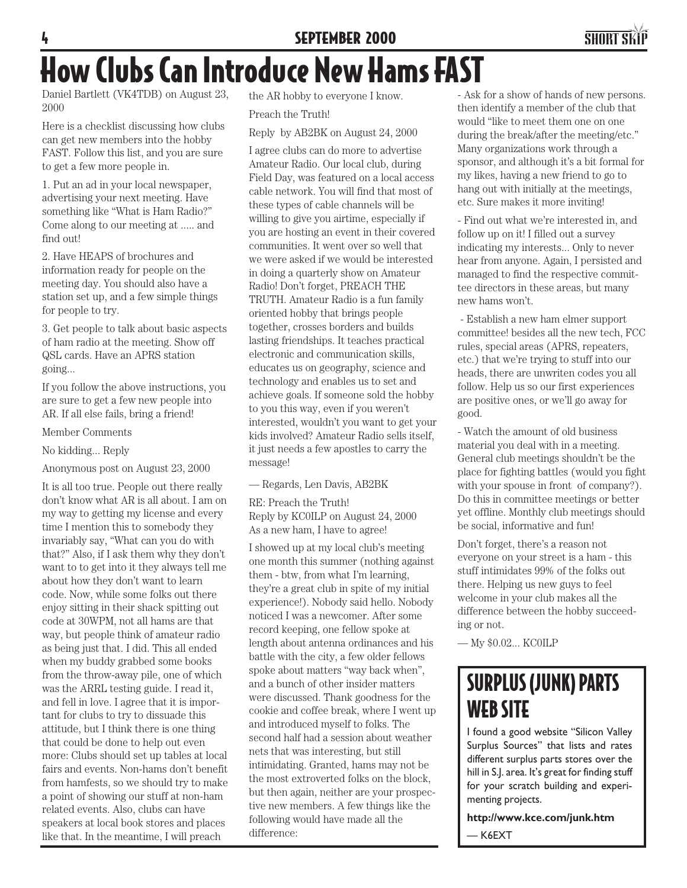#### **SEPTEMBER 2000**



## How Clubs Can Introduce New Hams FAST

Daniel Bartlett (VK4TDB) on August 23, 2000

Here is a checklist discussing how clubs can get new members into the hobby FAST. Follow this list, and you are sure to get a few more people in.

1. Put an ad in your local newspaper, advertising your next meeting. Have something like "What is Ham Radio?" Come along to our meeting at ..... and find out!

2. Have HEAPS of brochures and information ready for people on the meeting day. You should also have a station set up, and a few simple things for people to try.

3. Get people to talk about basic aspects of ham radio at the meeting. Show off QSL cards. Have an APRS station going...

If you follow the above instructions, you are sure to get a few new people into AR. If all else fails, bring a friend!

Member Comments

No kidding... Reply

Anonymous post on August 23, 2000

It is all too true. People out there really don't know what AR is all about. I am on my way to getting my license and every time I mention this to somebody they invariably say, "What can you do with that?" Also, if I ask them why they don't want to to get into it they always tell me about how they don't want to learn code. Now, while some folks out there enjoy sitting in their shack spitting out code at 30WPM, not all hams are that way, but people think of amateur radio as being just that. I did. This all ended when my buddy grabbed some books from the throw-away pile, one of which was the ARRL testing guide. I read it, and fell in love. I agree that it is important for clubs to try to dissuade this attitude, but I think there is one thing that could be done to help out even more: Clubs should set up tables at local fairs and events. Non-hams don't benefit from hamfests, so we should try to make a point of showing our stuff at non-ham related events. Also, clubs can have speakers at local book stores and places like that. In the meantime, I will preach

the AR hobby to everyone I know. Preach the Truth!

Reply by AB2BK on August 24, 2000

I agree clubs can do more to advertise Amateur Radio. Our local club, during Field Day, was featured on a local access cable network. You will find that most of these types of cable channels will be willing to give you airtime, especially if you are hosting an event in their covered communities. It went over so well that we were asked if we would be interested in doing a quarterly show on Amateur Radio! Don't forget, PREACH THE TRUTH. Amateur Radio is a fun family oriented hobby that brings people together, crosses borders and builds lasting friendships. It teaches practical electronic and communication skills, educates us on geography, science and technology and enables us to set and achieve goals. If someone sold the hobby to you this way, even if you weren't interested, wouldn't you want to get your kids involved? Amateur Radio sells itself, it just needs a few apostles to carry the message!

— Regards, Len Davis, AB2BK

RE: Preach the Truth! Reply by KC0ILP on August 24, 2000 As a new ham, I have to agree!

I showed up at my local club's meeting one month this summer (nothing against them - btw, from what I'm learning, they're a great club in spite of my initial experience!). Nobody said hello. Nobody noticed I was a newcomer. After some record keeping, one fellow spoke at length about antenna ordinances and his battle with the city, a few older fellows spoke about matters "way back when", and a bunch of other insider matters were discussed. Thank goodness for the cookie and coffee break, where I went up and introduced myself to folks. The second half had a session about weather nets that was interesting, but still intimidating. Granted, hams may not be the most extroverted folks on the block, but then again, neither are your prospective new members. A few things like the following would have made all the difference:

- Ask for a show of hands of new persons. then identify a member of the club that would "like to meet them one on one during the break/after the meeting/etc." Many organizations work through a sponsor, and although it's a bit formal for my likes, having a new friend to go to hang out with initially at the meetings, etc. Sure makes it more inviting!

- Find out what we're interested in, and follow up on it! I filled out a survey indicating my interests... Only to never hear from anyone. Again, I persisted and managed to find the respective committee directors in these areas, but many new hams won't.

 - Establish a new ham elmer support committee! besides all the new tech, FCC rules, special areas (APRS, repeaters, etc.) that we're trying to stuff into our heads, there are unwriten codes you all follow. Help us so our first experiences are positive ones, or we'll go away for good.

- Watch the amount of old business material you deal with in a meeting. General club meetings shouldn't be the place for fighting battles (would you fight with your spouse in front of company?). Do this in committee meetings or better yet offline. Monthly club meetings should be social, informative and fun!

Don't forget, there's a reason not everyone on your street is a ham - this stuff intimidates 99% of the folks out there. Helping us new guys to feel welcome in your club makes all the difference between the hobby succeeding or not.

— My \$0.02... KC0ILP

### SURPLUS (JUNK) PARTS WEB SITE

I found a good website "Silicon Valley Surplus Sources" that lists and rates different surplus parts stores over the hill in S.J. area. It's great for finding stuff for your scratch building and experimenting projects.

**http://www.kce.com/junk.htm** — K6EXT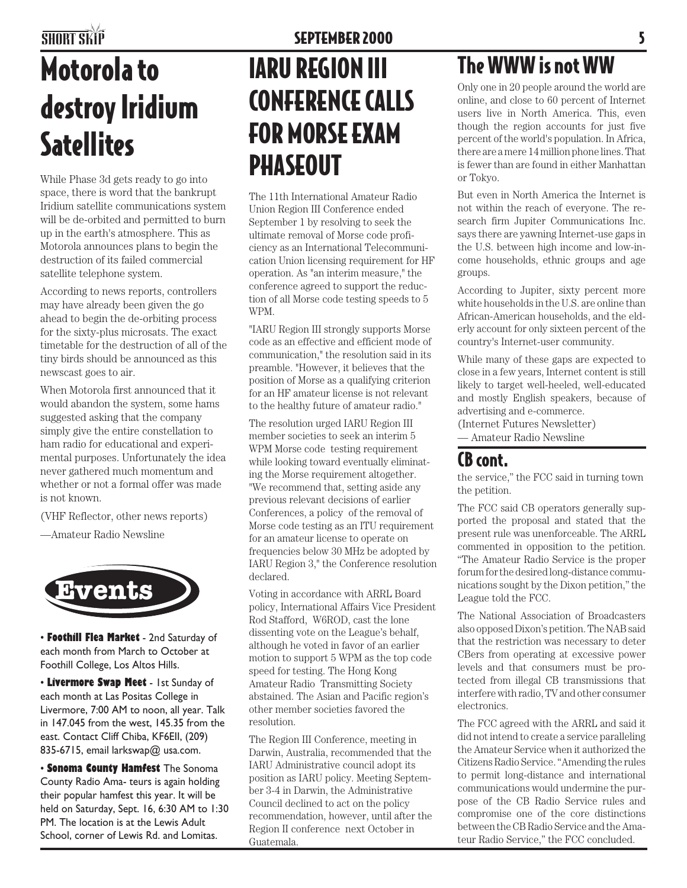## Motorola to destroy Iridium **Satellites**

While Phase 3d gets ready to go into space, there is word that the bankrupt Iridium satellite communications system will be de-orbited and permitted to burn up in the earth's atmosphere. This as Motorola announces plans to begin the destruction of its failed commercial satellite telephone system.

According to news reports, controllers may have already been given the go ahead to begin the de-orbiting process for the sixty-plus microsats. The exact timetable for the destruction of all of the tiny birds should be announced as this newscast goes to air.

When Motorola first announced that it would abandon the system, some hams suggested asking that the company simply give the entire constellation to ham radio for educational and experimental purposes. Unfortunately the idea never gathered much momentum and whether or not a formal offer was made is not known.

(VHF Reflector, other news reports)

—Amateur Radio Newsline



• **Foothill Flea Market** - 2nd Saturday of each month from March to October at Foothill College, Los Altos Hills.

• **Livermore Swap Meet** - 1st Sunday of each month at Las Positas College in Livermore, 7:00 AM to noon, all year. Talk in 147.045 from the west, 145.35 from the east. Contact Cliff Chiba, KF6EII, (209) 835-6715, email larkswap@ usa.com.

• **Sonoma County Hamfest** The Sonoma County Radio Ama- teurs is again holding their popular hamfest this year. It will be held on Saturday, Sept. 16, 6:30 AM to 1:30 PM. The location is at the Lewis Adult School, corner of Lewis Rd. and Lomitas.

## IARU REGION III CONFERENCE CALLS FOR MORSE EXAM PHASEOUT

The 11th International Amateur Radio Union Region III Conference ended September 1 by resolving to seek the ultimate removal of Morse code proficiency as an International Telecommunication Union licensing requirement for HF operation. As "an interim measure," the conference agreed to support the reduction of all Morse code testing speeds to 5 WPM.

"IARU Region III strongly supports Morse code as an effective and efficient mode of communication," the resolution said in its preamble. "However, it believes that the position of Morse as a qualifying criterion for an HF amateur license is not relevant to the healthy future of amateur radio."

The resolution urged IARU Region III member societies to seek an interim 5 WPM Morse code testing requirement while looking toward eventually eliminating the Morse requirement altogether. "We recommend that, setting aside any previous relevant decisions of earlier Conferences, a policy of the removal of Morse code testing as an ITU requirement for an amateur license to operate on frequencies below 30 MHz be adopted by IARU Region 3," the Conference resolution declared.

Voting in accordance with ARRL Board policy, International Affairs Vice President Rod Stafford, W6ROD, cast the lone dissenting vote on the League's behalf, although he voted in favor of an earlier motion to support 5 WPM as the top code speed for testing. The Hong Kong Amateur Radio Transmitting Society abstained. The Asian and Pacific region's other member societies favored the resolution.

The Region III Conference, meeting in Darwin, Australia, recommended that the IARU Administrative council adopt its position as IARU policy. Meeting September 3-4 in Darwin, the Administrative Council declined to act on the policy recommendation, however, until after the Region II conference next October in Guatemala.

### The WWW is not WW

Only one in 20 people around the world are online, and close to 60 percent of Internet users live in North America. This, even though the region accounts for just five percent of the world's population. In Africa, there are a mere 14 million phone lines. That is fewer than are found in either Manhattan or Tokyo.

But even in North America the Internet is not within the reach of everyone. The research firm Jupiter Communications Inc. says there are yawning Internet-use gaps in the U.S. between high income and low-income households, ethnic groups and age groups.

According to Jupiter, sixty percent more white households in the U.S. are online than African-American households, and the elderly account for only sixteen percent of the country's Internet-user community.

While many of these gaps are expected to close in a few years, Internet content is still likely to target well-heeled, well-educated and mostly English speakers, because of advertising and e-commerce.

(Internet Futures Newsletter)

— Amateur Radio Newsline

#### CB cont.

the service," the FCC said in turning town the petition.

The FCC said CB operators generally supported the proposal and stated that the present rule was unenforceable. The ARRL commented in opposition to the petition. "The Amateur Radio Service is the proper forum for the desired long-distance communications sought by the Dixon petition," the League told the FCC.

The National Association of Broadcasters also opposed Dixon's petition. The NAB said that the restriction was necessary to deter CBers from operating at excessive power levels and that consumers must be protected from illegal CB transmissions that interfere with radio, TV and other consumer electronics.

The FCC agreed with the ARRL and said it did not intend to create a service paralleling the Amateur Service when it authorized the Citizens Radio Service. "Amending the rules to permit long-distance and international communications would undermine the purpose of the CB Radio Service rules and compromise one of the core distinctions between the CB Radio Service and the Amateur Radio Service," the FCC concluded.